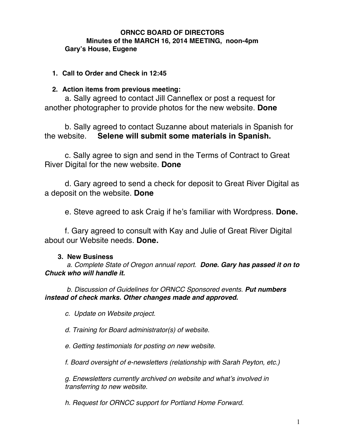### **ORNCC BOARD OF DIRECTORS Minutes of the MARCH 16, 2014 MEETING, noon-4pm Gary's House, Eugene**

## **1. Call to Order and Check in 12:45**

# **2. Action items from previous meeting:**

a. Sally agreed to contact Jill Canneflex or post a request for another photographer to provide photos for the new website. **Done**

b. Sally agreed to contact Suzanne about materials in Spanish for the website. **Selene will submit some materials in Spanish.**

c. Sally agree to sign and send in the Terms of Contract to Great River Digital for the new website. **Done**

d. Gary agreed to send a check for deposit to Great River Digital as a deposit on the website. **Done**

e. Steve agreed to ask Craig if he's familiar with Wordpress. **Done.**

f. Gary agreed to consult with Kay and Julie of Great River Digital about our Website needs. **Done.**

## **3. New Business**

 *a. Complete State of Oregon annual report. Done. Gary has passed it on to Chuck who will handle it.*

*b. Discussion of Guidelines for ORNCC Sponsored events. Put numbers instead of check marks. Other changes made and approved.*

*c. Update on Website project.*

*d. Training for Board administrator(s) of website.*

*e. Getting testimonials for posting on new website.*

*f. Board oversight of e-newsletters (relationship with Sarah Peyton, etc.)*

*g. Enewsletters currently archived on website and what's involved in transferring to new website.*

*h. Request for ORNCC support for Portland Home Forward.*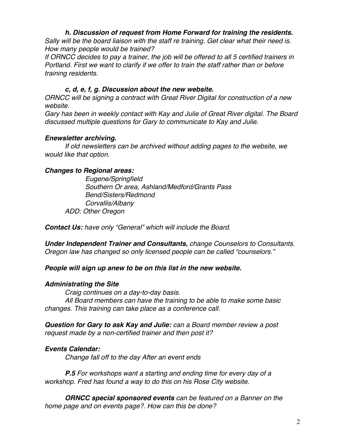## *h. Discussion of request from Home Forward for training the residents.*

*Sally will be the board liaison with the staff re training. Get clear what their need is. How many people would be trained?*

*If ORNCC decides to pay a trainer, the job will be offered to all 5 certified trainers in Portland. First we want to clarify if we offer to train the staff rather than or before training residents.*

## *c, d, e, f, g. Discussion about the new website.*

*ORNCC will be signing a contract with Great River Digital for construction of a new website.*

*Gary has been in weekly contact with Kay and Julie of Great River digital. The Board discussed multiple questions for Gary to communicate to Kay and Julie.*

## *Enewsletter archiving.*

*If old newsletters can be archived without adding pages to the website, we would like that option.*

## *Changes to Regional areas:*

*Eugene/Springfield Southern Or area, Ashland/Medford/Grants Pass Bend/Sisters/Redmond Corvallis/Albany ADD: Other Oregon*

*Contact Us: have only "General" which will include the Board.*

*Under Independent Trainer and Consultants, change Counselors to Consultants. Oregon law has changed so only licensed people can be called "counselors."*

#### *People will sign up anew to be on this list in the new website.*

#### *Administrating the Site*

*Craig continues on a day-to-day basis. All Board members can have the training to be able to make some basic changes. This training can take place as a conference call.*

*Question for Gary to ask Kay and Julie: can a Board member review a post request made by a non-certified trainer and then post it?*

## *Events Calendar:*

*Change fall off to the day After an event ends*

*P.5 For workshops want a starting and ending time for every day of a workshop. Fred has found a way to do this on his Rose City website.*

*ORNCC special sponsored events can be featured on a Banner on the home page and on events page?. How can this be done?*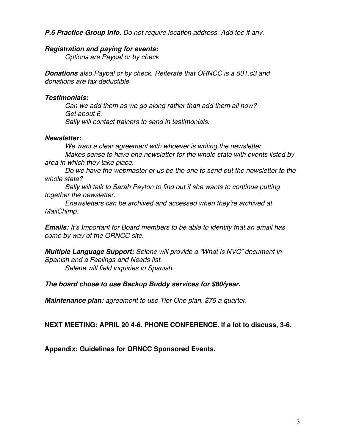### *P.6 Practice Group Info. Do not require location address. Add fee if any.*

#### *Registration and paying for events:*

*Options are Paypal or by check*

*Donations also Paypal or by check. Reiterate that ORNCC is a 501.c3 and donations are tax deductible*

### *Testimonials:*

*Can we add them as we go along rather than add them all now? Get about 6. Sally will contact trainers to send in testimonials.*

## *Newsletter:*

*We want a clear agreement with whoever is writing the newsletter. Makes sense to have one newsletter for the whole state with events listed by area in which they take place.*

*Do we have the webmaster or us be the one to send out the newsletter to the whole state?*

*Sally will talk to Sarah Peyton to find out if she wants to continue putting together the newsletter.*

*Enewsletters can be archived and accessed when they're archived at MailChimp.*

*Emails: It's important for Board members to be able to identify that an email has come by way of the ORNCC site.*

*Multiple Language Support: Selene will provide a "What is NVC" document in Spanish and a Feelings and Needs list.*

*Selene will field inquiries in Spanish.*

#### *The board chose to use Backup Buddy services for \$80/year.*

*Maintenance plan: agreement to use Tier One plan. \$75 a quarter.*

**NEXT MEETING: APRIL 20 4-6. PHONE CONFERENCE. If a lot to discuss, 3-6.**

**Appendix: Guidelines for ORNCC Sponsored Events.**